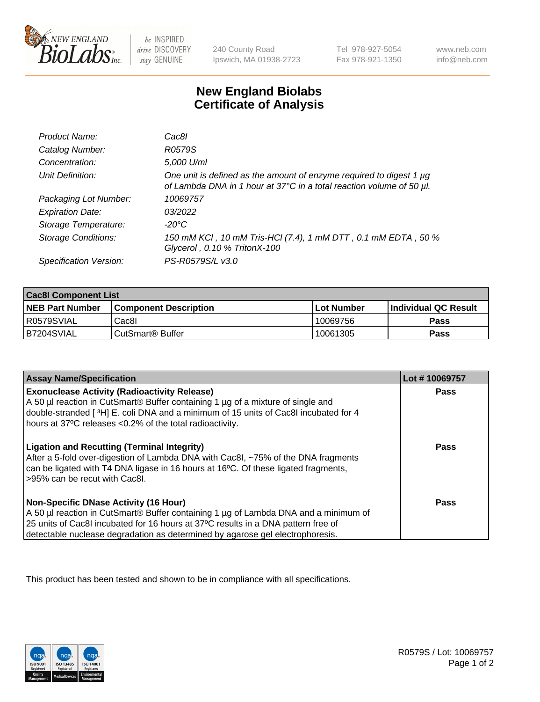

 $be$  INSPIRED drive DISCOVERY stay GENUINE

240 County Road Ipswich, MA 01938-2723 Tel 978-927-5054 Fax 978-921-1350 www.neb.com info@neb.com

## **New England Biolabs Certificate of Analysis**

| Product Name:              | Cac8l                                                                                                                                       |
|----------------------------|---------------------------------------------------------------------------------------------------------------------------------------------|
| Catalog Number:            | R0579S                                                                                                                                      |
| Concentration:             | 5,000 U/ml                                                                                                                                  |
| Unit Definition:           | One unit is defined as the amount of enzyme required to digest 1 µg<br>of Lambda DNA in 1 hour at 37°C in a total reaction volume of 50 µl. |
| Packaging Lot Number:      | 10069757                                                                                                                                    |
| <b>Expiration Date:</b>    | 03/2022                                                                                                                                     |
| Storage Temperature:       | $-20^{\circ}$ C                                                                                                                             |
| <b>Storage Conditions:</b> | 150 mM KCI, 10 mM Tris-HCI (7.4), 1 mM DTT, 0.1 mM EDTA, 50 %<br>Glycerol, 0.10 % TritonX-100                                               |
| Specification Version:     | PS-R0579S/L v3.0                                                                                                                            |

| <b>Cac8I Component List</b> |                         |             |                             |  |  |
|-----------------------------|-------------------------|-------------|-----------------------------|--|--|
| <b>NEB Part Number</b>      | l Component Description | ⊺Lot Number | <b>Individual QC Result</b> |  |  |
| I R0579SVIAL                | Cac8I                   | 10069756    | Pass                        |  |  |
| B7204SVIAL                  | l CutSmart® Buffer      | 10061305    | Pass                        |  |  |

| <b>Assay Name/Specification</b>                                                                                                                                                                                                                                                                    | Lot #10069757 |
|----------------------------------------------------------------------------------------------------------------------------------------------------------------------------------------------------------------------------------------------------------------------------------------------------|---------------|
| <b>Exonuclease Activity (Radioactivity Release)</b><br>A 50 µl reaction in CutSmart® Buffer containing 1 µg of a mixture of single and<br>double-stranded [3H] E. coli DNA and a minimum of 15 units of Cac8I incubated for 4<br>hours at 37°C releases <0.2% of the total radioactivity.          | <b>Pass</b>   |
| <b>Ligation and Recutting (Terminal Integrity)</b><br>After a 5-fold over-digestion of Lambda DNA with Cac8I, ~75% of the DNA fragments<br>can be ligated with T4 DNA ligase in 16 hours at 16°C. Of these ligated fragments,<br>-95% can be recut with Cac8I.                                     | Pass          |
| Non-Specific DNase Activity (16 Hour)<br>A 50 µl reaction in CutSmart® Buffer containing 1 µg of Lambda DNA and a minimum of<br>25 units of Cac8I incubated for 16 hours at 37°C results in a DNA pattern free of<br>detectable nuclease degradation as determined by agarose gel electrophoresis. | Pass          |

This product has been tested and shown to be in compliance with all specifications.